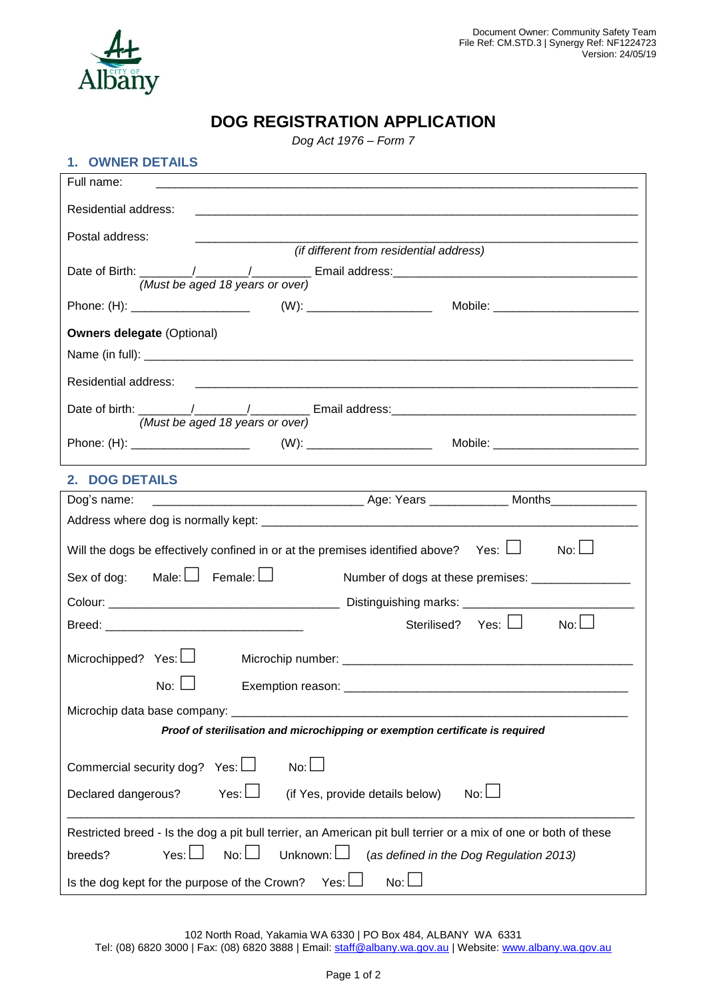

## **DOG REGISTRATION APPLICATION**

*Dog Act 1976 – Form 7*

### **1. OWNER DETAILS**

| Full name:                                                                                                                             |
|----------------------------------------------------------------------------------------------------------------------------------------|
| Residential address:                                                                                                                   |
| Postal address:                                                                                                                        |
| (if different from residential address)                                                                                                |
| (Must be aged 18 years or over)                                                                                                        |
|                                                                                                                                        |
| <b>Owners delegate (Optional)</b>                                                                                                      |
|                                                                                                                                        |
| Residential address:                                                                                                                   |
| (Must be aged 18 years or over)                                                                                                        |
|                                                                                                                                        |
|                                                                                                                                        |
| 2. DOG DETAILS<br><u> 1989 - Johann Barn, mars ann an t-Amhain Aonaich an t-Aonaich an t-Aonaich ann an t-Aonaich ann an t-Aonaich</u> |
| Dog's name:                                                                                                                            |
|                                                                                                                                        |
| $No: \Box$<br>Will the dogs be effectively confined in or at the premises identified above? Yes: $\Box$                                |
| Sex of dog: Male: $\Box$ Female: $\Box$<br>Number of dogs at these premises: ____________________                                      |
|                                                                                                                                        |
| Sterilised? Yes: □<br>No:                                                                                                              |
| Microchipped? Yes: $\Box$                                                                                                              |
| No: $\Box$                                                                                                                             |
| Microchip data base company:                                                                                                           |
| Proof of sterilisation and microchipping or exemption certificate is required                                                          |
|                                                                                                                                        |
| Commercial security dog?<br>No:<br>Yes: $\Box$                                                                                         |
| Yes: $\Box$<br>Declared dangerous?<br>No: $\Box$<br>(if Yes, provide details below)                                                    |
| Restricted breed - Is the dog a pit bull terrier, an American pit bull terrier or a mix of one or both of these                        |
| No:<br>Unknown: U<br>Yes:<br>(as defined in the Dog Regulation 2013)<br>breeds?                                                        |
| No:<br>Is the dog kept for the purpose of the Crown?<br>Yes:                                                                           |

102 North Road, Yakamia WA 6330 | PO Box 484, ALBANY WA 6331